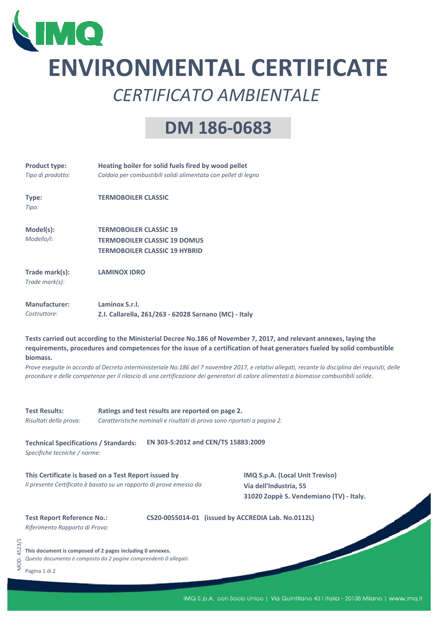

# **ENVIRONMENTAL CERTIFICATE** *CERTIFICATO AMBIENTALE*

## **DM 186‐0683**

| <b>Product type:</b><br>Tipo di prodotto:      | Heating boiler for solid fuels fired by wood pellet<br>Caldaia per combustibili solidi alimentata con pellet di legno                                                                                                                                                                                                                                                                                                                                                                                                                          |  |  |  |  |
|------------------------------------------------|------------------------------------------------------------------------------------------------------------------------------------------------------------------------------------------------------------------------------------------------------------------------------------------------------------------------------------------------------------------------------------------------------------------------------------------------------------------------------------------------------------------------------------------------|--|--|--|--|
| Type:<br>Tipo:                                 | <b>TERMOBOILER CLASSIC</b>                                                                                                                                                                                                                                                                                                                                                                                                                                                                                                                     |  |  |  |  |
| Model(s):<br>Modello/i:                        | <b>TERMOBOILER CLASSIC 19</b><br><b>TERMOBOILER CLASSIC 19 DOMUS</b><br><b>TERMOBOILER CLASSIC 19 HYBRID</b>                                                                                                                                                                                                                                                                                                                                                                                                                                   |  |  |  |  |
| Trade mark(s):<br>Trade mark(s):               | <b>LAMINOX IDRO</b>                                                                                                                                                                                                                                                                                                                                                                                                                                                                                                                            |  |  |  |  |
| <b>Manufacturer:</b><br>Costruttore:           | Laminox S.r.l.<br>Z.I. Callarella, 261/263 - 62028 Sarnano (MC) - Italy                                                                                                                                                                                                                                                                                                                                                                                                                                                                        |  |  |  |  |
| biomass.                                       | Tests carried out according to the Ministerial Decree No.186 of November 7, 2017, and relevant annexes, laying the<br>requirements, procedures and competences for the issue of a certification of heat generators fueled by solid combustible<br>Prove eseguite in accordo al Decreto interministeriale No.186 del 7 novembre 2017, e relativi allegati, recante la disciplina dei requisiti, delle<br>procedure e delle competenze per il rilascio di una certificazione dei generatori di calore alimentati a biomasse combustibili solide. |  |  |  |  |
| <b>Test Results:</b><br>Risultati della prova: | Ratings and test results are reported on page 2.<br>Caratteristiche nominali e risultati di prova sono riportati a pagina 2.                                                                                                                                                                                                                                                                                                                                                                                                                   |  |  |  |  |
| <b>Technical Specifications / Standards:</b>   | EN 303-5:2012 and CEN/TS 15883:2009                                                                                                                                                                                                                                                                                                                                                                                                                                                                                                            |  |  |  |  |

*Specifiche tecniche / norme:*

**This Certificate is based on a Test Report issued by IMQ S.p.A. (Local Unit Treviso)** *Il presente Certificato è basato su un rapporto di prova emesso da* **Via dell'Industria, 55**

**31020 Zoppè S. Vendemiano (TV) ‐ Italy.**

### **Test Report Reference No.:**

**CS20‐0055014‐01 (issued by ACCREDIA Lab. No.0112L)**

*Riferimento Rapporto di Prova:*

**This document is composed of 2 pages including 0 annexes.**

*Questo documento è composto da 2 pagine comprendenti 0 allegati.*

Pagina 1 di 2

MOD. 4523/1

MOD. 4523/1

IMQ S.p.A. con Socio Unico | Via Quintiliano 43 | Italia - 20138 Milano | www.imq.it